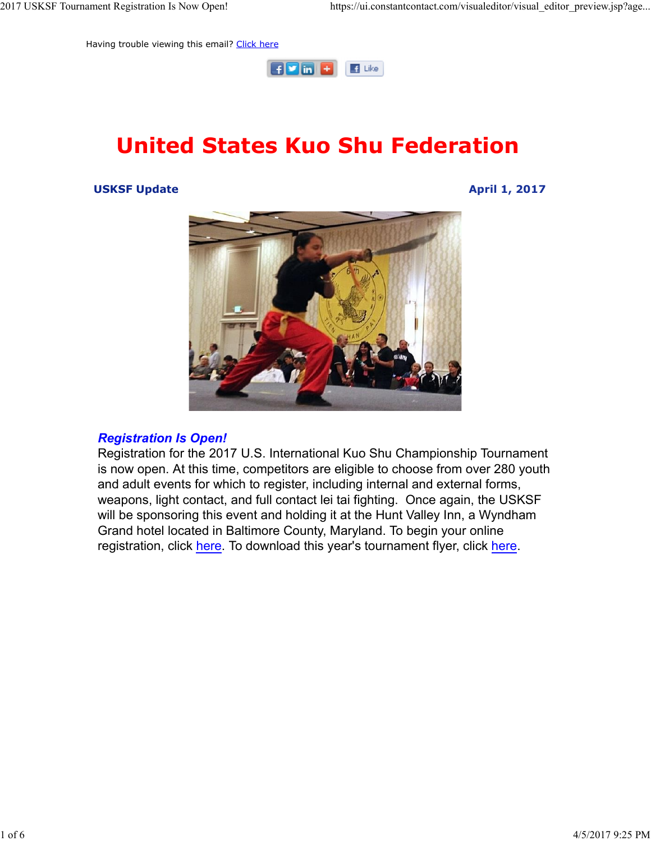Having trouble viewing this email? Click here



# United States Kuo Shu Federation

USKSF Update April 1, 2017



#### Registration Is Open!

Registration for the 2017 U.S. International Kuo Shu Championship Tournament is now open. At this time, competitors are eligible to choose from over 280 youth and adult events for which to register, including internal and external forms, weapons, light contact, and full contact lei tai fighting. Once again, the USKSF will be sponsoring this event and holding it at the Hunt Valley Inn, a Wyndham Grand hotel located in Baltimore County, Maryland. To begin your online registration, click here. To download this year's tournament flyer, click here.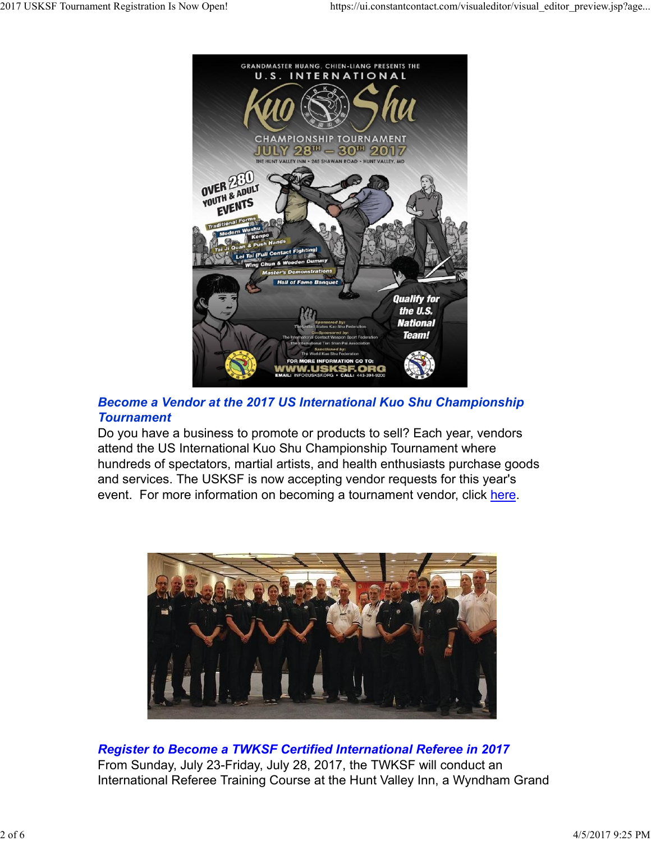

## Become a Vendor at the 2017 US International Kuo Shu Championship **Tournament**

Do you have a business to promote or products to sell? Each year, vendors attend the US International Kuo Shu Championship Tournament where hundreds of spectators, martial artists, and health enthusiasts purchase goods and services. The USKSF is now accepting vendor requests for this year's event. For more information on becoming a tournament vendor, click here.



Register to Become a TWKSF Certified International Referee in 2017 From Sunday, July 23-Friday, July 28, 2017, the TWKSF will conduct an International Referee Training Course at the Hunt Valley Inn, a Wyndham Grand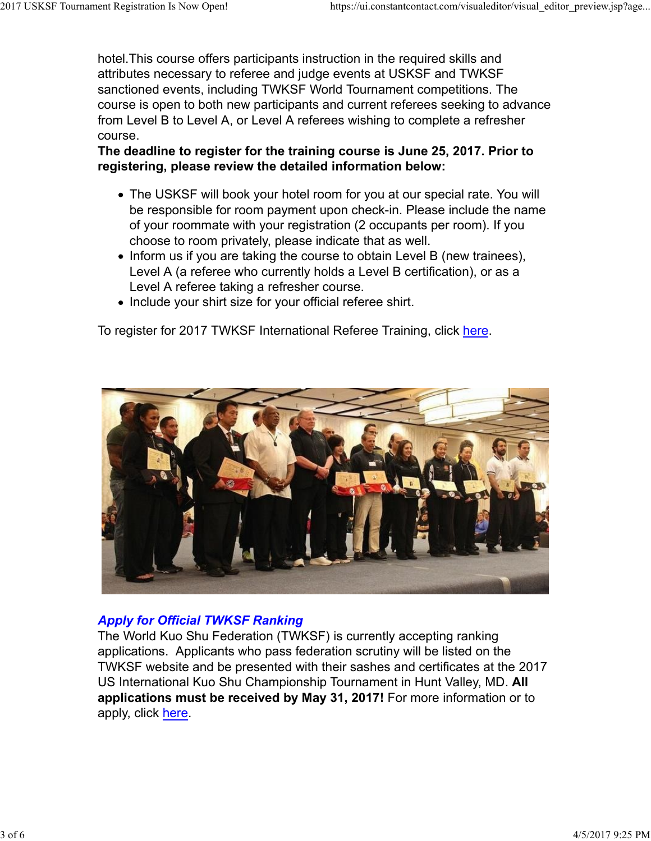hotel.This course offers participants instruction in the required skills and attributes necessary to referee and judge events at USKSF and TWKSF sanctioned events, including TWKSF World Tournament competitions. The course is open to both new participants and current referees seeking to advance from Level B to Level A, or Level A referees wishing to complete a refresher course. 2017 USKSF Tournament Registration Is Now Open! https://ui.constantcontact.com/visualeditor/visual\_editor\_preview.jsp?age...<br>https://ui.constantcontact.com/visualeditor/visual\_editor\_preview.jsp?age...<br>https://ui.constantc

### The deadline to register for the training course is June 25, 2017. Prior to registering, please review the detailed information below:

- The USKSF will book your hotel room for you at our special rate. You will be responsible for room payment upon check-in. Please include the name of your roommate with your registration (2 occupants per room). If you choose to room privately, please indicate that as well.
- Inform us if you are taking the course to obtain Level B (new trainees), Level A (a referee who currently holds a Level B certification), or as a Level A referee taking a refresher course.
- Include your shirt size for your official referee shirt.

To register for 2017 TWKSF International Referee Training, click here.



### Apply for Official TWKSF Ranking

The World Kuo Shu Federation (TWKSF) is currently accepting ranking applications. Applicants who pass federation scrutiny will be listed on the TWKSF website and be presented with their sashes and certificates at the 2017 US International Kuo Shu Championship Tournament in Hunt Valley, MD. All applications must be received by May 31, 2017! For more information or to apply, click here. **Apply for Official TWKSF Ranking**<br>The World Kuo Shu Federation (TWKSF) is currently accepting ranking<br>applications. Applicants who pass federation scrutiny will be listed on the<br>TWKSF website and be presented with their s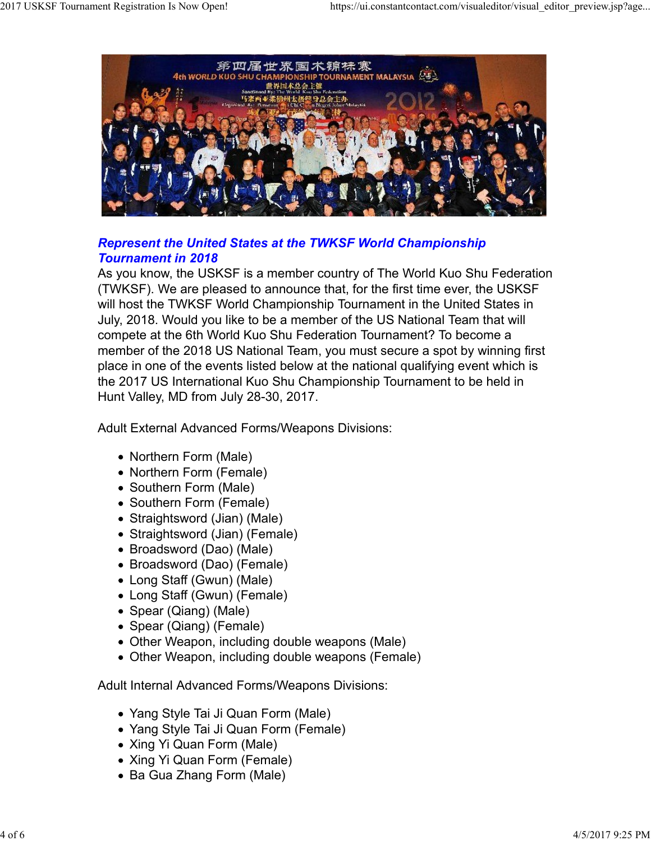

## Represent the United States at the TWKSF World Championship Tournament in 2018

As you know, the USKSF is a member country of The World Kuo Shu Federation (TWKSF). We are pleased to announce that, for the first time ever, the USKSF will host the TWKSF World Championship Tournament in the United States in July, 2018. Would you like to be a member of the US National Team that will compete at the 6th World Kuo Shu Federation Tournament? To become a member of the 2018 US National Team, you must secure a spot by winning first place in one of the events listed below at the national qualifying event which is the 2017 US International Kuo Shu Championship Tournament to be held in Hunt Valley, MD from July 28-30, 2017.

Adult External Advanced Forms/Weapons Divisions:

- Northern Form (Male)
- Northern Form (Female)
- Southern Form (Male)
- Southern Form (Female)
- Straightsword (Jian) (Male)
- Straightsword (Jian) (Female)
- Broadsword (Dao) (Male)
- Broadsword (Dao) (Female)
- Long Staff (Gwun) (Male)
- Long Staff (Gwun) (Female)
- Spear (Qiang) (Male)
- Spear (Qiang) (Female)
- Other Weapon, including double weapons (Male) • Broadsword (Dao) (Female)<br>• Long Staff (Gwun) (Male)<br>• Long Staff (Gwun) (Female)<br>• Spear (Qiang) (Male)<br>• Spear (Qiang) (Female)<br>• Other Weapon, including double weapons (Male)<br>• Other Weapon, including double weapons
	- Other Weapon, including double weapons (Female)

Adult Internal Advanced Forms/Weapons Divisions:

- Yang Style Tai Ji Quan Form (Male)
- Yang Style Tai Ji Quan Form (Female)
- Xing Yi Quan Form (Male)
- Xing Yi Quan Form (Female)
- Ba Gua Zhang Form (Male)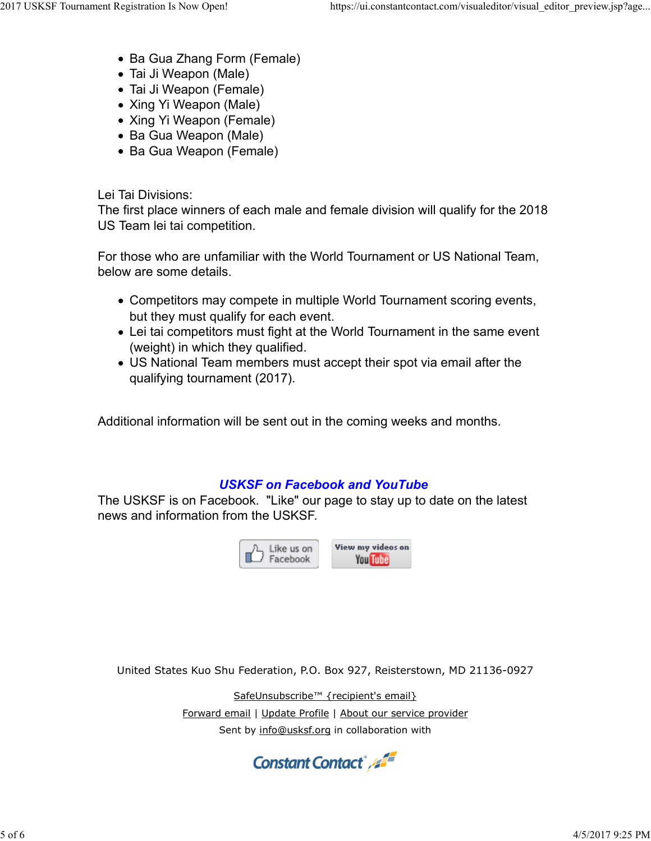- Ba Gua Zhang Form (Female)
- Tai Ji Weapon (Male)
- Tai Ji Weapon (Female)
- Xing Yi Weapon (Male)
- Xing Yi Weapon (Female)
- Ba Gua Weapon (Male)
- Ba Gua Weapon (Female)

Lei Tai Divisions:

The first place winners of each male and female division will qualify for the 2018 US Team lei tai competition.

For those who are unfamiliar with the World Tournament or US National Team, below are some details.

- Competitors may compete in multiple World Tournament scoring events, but they must qualify for each event.
- Lei tai competitors must fight at the World Tournament in the same event (weight) in which they qualified.
- US National Team members must accept their spot via email after the qualifying tournament (2017).

Additional information will be sent out in the coming weeks and months.

## USKSF on Facebook and YouTube

The USKSF is on Facebook. "Like" our page to stay up to date on the latest news and information from the USKSF. **USKSF on Facebook and YouTube**<br>
on Facebook. "Like" our page to stay up to date on the latest<br>
mation from the USKSF.<br>  $\begin{array}{|c|c|}\n\hline\n\hline\n\end{array}$  Like us on<br>  $\begin{array}{|c|c|}\n\hline\n\end{array}$  We we my vides on<br>  $\begin{array}{|c|c|}\n\hline\n\$ 



United States Kuo Shu Federation, P.O. Box 927, Reisterstown, MD 21136-0927

SafeUnsubscribe™ {recipient's email}

Sent by info@usksf.org in collaboration with United States Kuo Shu Federation, P.O. Box 927, Reisterstown, MD 21136-0927<br>
SafeUnsubscribe<sup>ns</sup> (recipient's email)<br>
Eorward email | Update Profile | About our service provider<br>
Sent by info@usksf.org in collaboration wit